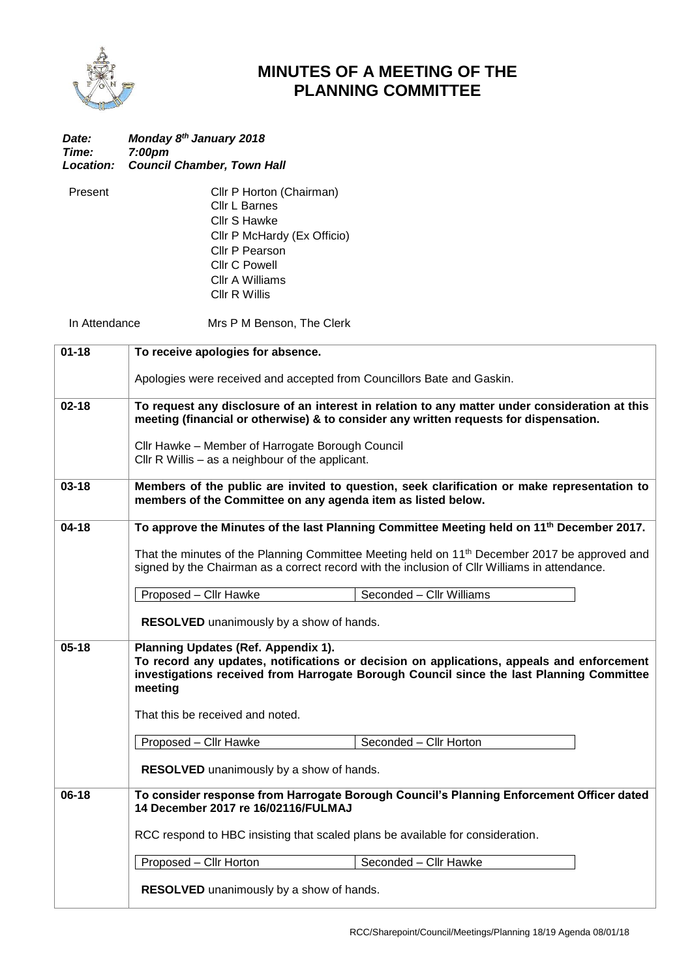

## **MINUTES OF A MEETING OF THE PLANNING COMMITTEE**

| Date:              | Monday 8th January 2018                                                                                                                                                                                                                        |  |
|--------------------|------------------------------------------------------------------------------------------------------------------------------------------------------------------------------------------------------------------------------------------------|--|
| Time:<br>Location: | 7:00pm<br><b>Council Chamber, Town Hall</b>                                                                                                                                                                                                    |  |
|                    |                                                                                                                                                                                                                                                |  |
| Present            | Cllr P Horton (Chairman)                                                                                                                                                                                                                       |  |
|                    | Cllr L Barnes                                                                                                                                                                                                                                  |  |
|                    | Cllr S Hawke                                                                                                                                                                                                                                   |  |
|                    | Cllr P McHardy (Ex Officio)                                                                                                                                                                                                                    |  |
|                    | Cllr P Pearson                                                                                                                                                                                                                                 |  |
|                    | <b>Cllr C Powell</b>                                                                                                                                                                                                                           |  |
|                    | Cllr A Williams                                                                                                                                                                                                                                |  |
|                    | <b>CIIr R Willis</b>                                                                                                                                                                                                                           |  |
|                    |                                                                                                                                                                                                                                                |  |
|                    | In Attendance<br>Mrs P M Benson, The Clerk                                                                                                                                                                                                     |  |
| $01 - 18$          | To receive apologies for absence.                                                                                                                                                                                                              |  |
|                    | Apologies were received and accepted from Councillors Bate and Gaskin.                                                                                                                                                                         |  |
| $02 - 18$          | To request any disclosure of an interest in relation to any matter under consideration at this<br>meeting (financial or otherwise) & to consider any written requests for dispensation.                                                        |  |
|                    | Cllr Hawke - Member of Harrogate Borough Council<br>Cllr R Willis - as a neighbour of the applicant.                                                                                                                                           |  |
| $03 - 18$          | Members of the public are invited to question, seek clarification or make representation to<br>members of the Committee on any agenda item as listed below.                                                                                    |  |
| $04-18$            | To approve the Minutes of the last Planning Committee Meeting held on 11 <sup>th</sup> December 2017.                                                                                                                                          |  |
|                    | That the minutes of the Planning Committee Meeting held on 11 <sup>th</sup> December 2017 be approved and<br>signed by the Chairman as a correct record with the inclusion of Cllr Williams in attendance.                                     |  |
|                    | Proposed - Cllr Hawke<br>Seconded - Cllr Williams                                                                                                                                                                                              |  |
|                    | <b>RESOLVED</b> unanimously by a show of hands.                                                                                                                                                                                                |  |
| $05-18$            | <b>Planning Updates (Ref. Appendix 1).</b><br>To record any updates, notifications or decision on applications, appeals and enforcement<br>investigations received from Harrogate Borough Council since the last Planning Committee<br>meeting |  |
|                    | That this be received and noted.                                                                                                                                                                                                               |  |
|                    | Proposed - Cllr Hawke<br>Seconded - Cllr Horton                                                                                                                                                                                                |  |
|                    | <b>RESOLVED</b> unanimously by a show of hands.                                                                                                                                                                                                |  |
| $06-18$            | To consider response from Harrogate Borough Council's Planning Enforcement Officer dated<br>14 December 2017 re 16/02116/FULMAJ                                                                                                                |  |
|                    | RCC respond to HBC insisting that scaled plans be available for consideration.                                                                                                                                                                 |  |
|                    | Proposed - Cllr Horton<br>Seconded - Cllr Hawke                                                                                                                                                                                                |  |
|                    | RESOLVED unanimously by a show of hands.                                                                                                                                                                                                       |  |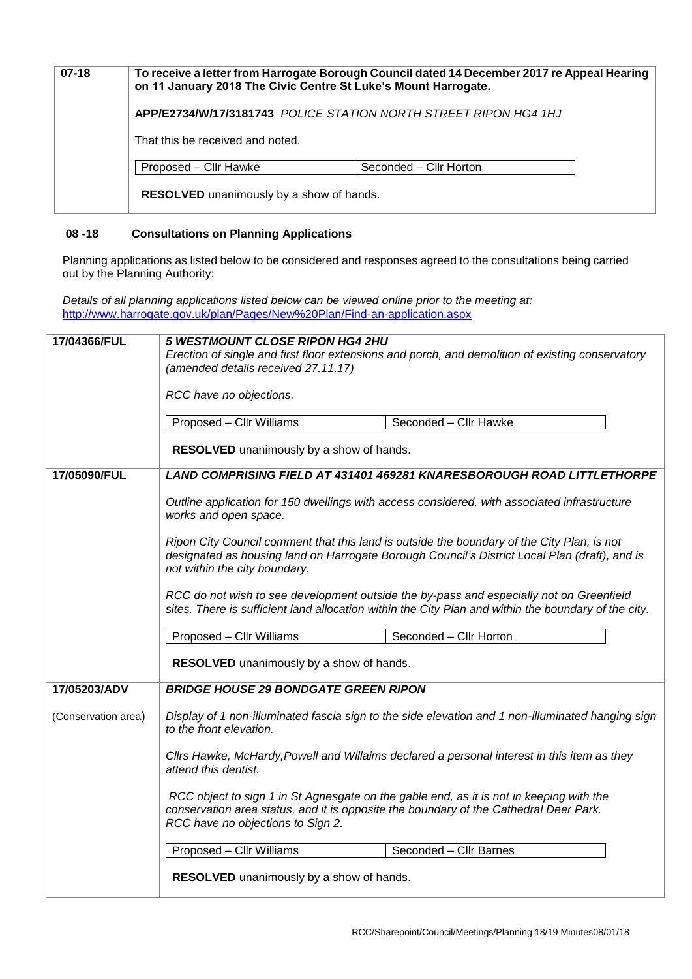| $07-18$ |                                                 | To receive a letter from Harrogate Borough Council dated 14 December 2017 re Appeal Hearing<br>on 11 January 2018 The Civic Centre St Luke's Mount Harrogate. |
|---------|-------------------------------------------------|---------------------------------------------------------------------------------------------------------------------------------------------------------------|
|         |                                                 | APP/E2734/W/17/3181743 POLICE STATION NORTH STREET RIPON HG4 1HJ                                                                                              |
|         | That this be received and noted.                |                                                                                                                                                               |
|         | Proposed - Cllr Hawke                           | Seconded - Cllr Horton                                                                                                                                        |
|         | <b>RESOLVED</b> unanimously by a show of hands. |                                                                                                                                                               |

## **08 -18 Consultations on Planning Applications**

Planning applications as listed below to be considered and responses agreed to the consultations being carried out by the Planning Authority:

*Details of all planning applications listed below can be viewed online prior to the meeting at:* <http://www.harrogate.gov.uk/plan/Pages/New%20Plan/Find-an-application.aspx>

| 17/04366/FUL        | <b>5 WESTMOUNT CLOSE RIPON HG4 2HU</b><br>Erection of single and first floor extensions and porch, and demolition of existing conservatory<br>(amended details received 27.11.17)<br>RCC have no objections.          |                                                                                                                                                                                             |  |
|---------------------|-----------------------------------------------------------------------------------------------------------------------------------------------------------------------------------------------------------------------|---------------------------------------------------------------------------------------------------------------------------------------------------------------------------------------------|--|
|                     | Proposed - Cllr Williams<br><b>RESOLVED</b> unanimously by a show of hands.                                                                                                                                           | Seconded - Cllr Hawke                                                                                                                                                                       |  |
| 17/05090/FUL        | <b>LAND COMPRISING FIELD AT 431401 469281 KNARESBOROUGH ROAD LITTLETHORPE</b><br>Outline application for 150 dwellings with access considered, with associated infrastructure<br>works and open space.                |                                                                                                                                                                                             |  |
|                     | not within the city boundary.                                                                                                                                                                                         | Ripon City Council comment that this land is outside the boundary of the City Plan, is not<br>designated as housing land on Harrogate Borough Council's District Local Plan (draft), and is |  |
|                     | RCC do not wish to see development outside the by-pass and especially not on Greenfield<br>sites. There is sufficient land allocation within the City Plan and within the boundary of the city.                       |                                                                                                                                                                                             |  |
|                     | Proposed - Cllr Williams<br>RESOLVED unanimously by a show of hands.                                                                                                                                                  | Seconded - Cllr Horton                                                                                                                                                                      |  |
| 17/05203/ADV        | <b>BRIDGE HOUSE 29 BONDGATE GREEN RIPON</b>                                                                                                                                                                           |                                                                                                                                                                                             |  |
| (Conservation area) | to the front elevation.                                                                                                                                                                                               | Display of 1 non-illuminated fascia sign to the side elevation and 1 non-illuminated hanging sign                                                                                           |  |
|                     | Cllrs Hawke, McHardy, Powell and Willaims declared a personal interest in this item as they<br>attend this dentist.                                                                                                   |                                                                                                                                                                                             |  |
|                     | RCC object to sign 1 in St Agnesgate on the gable end, as it is not in keeping with the<br>conservation area status, and it is opposite the boundary of the Cathedral Deer Park.<br>RCC have no objections to Sign 2. |                                                                                                                                                                                             |  |
|                     | Proposed - Cllr Williams                                                                                                                                                                                              | Seconded - Cllr Barnes                                                                                                                                                                      |  |
|                     | RESOLVED unanimously by a show of hands.                                                                                                                                                                              |                                                                                                                                                                                             |  |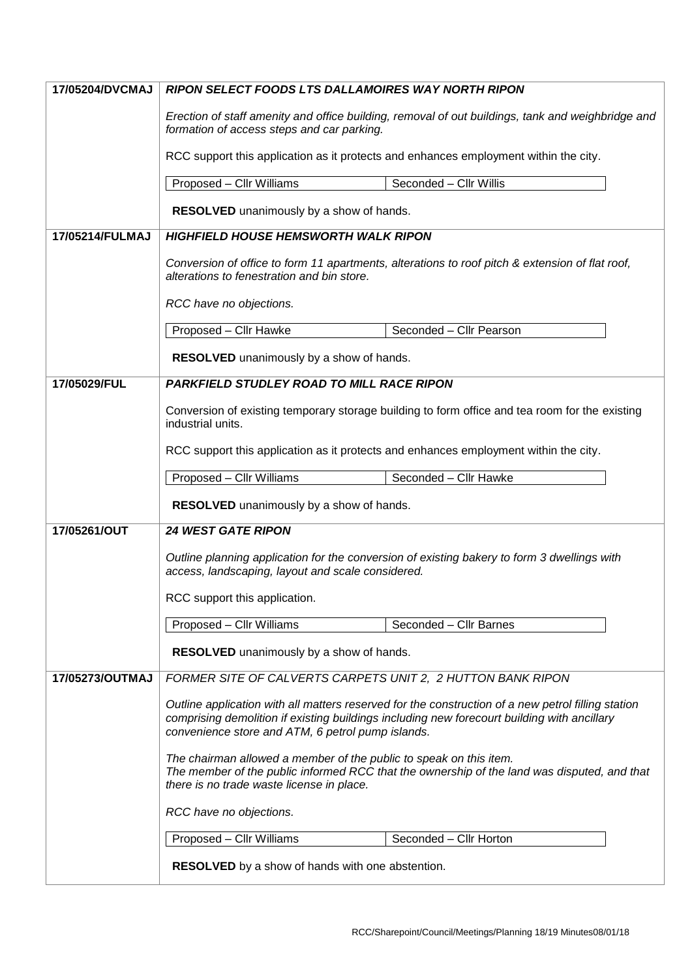| 17/05204/DVCMAJ | <b>RIPON SELECT FOODS LTS DALLAMOIRES WAY NORTH RIPON</b>                                                                                                                                                                                              |  |  |
|-----------------|--------------------------------------------------------------------------------------------------------------------------------------------------------------------------------------------------------------------------------------------------------|--|--|
|                 | Erection of staff amenity and office building, removal of out buildings, tank and weighbridge and<br>formation of access steps and car parking.                                                                                                        |  |  |
|                 | RCC support this application as it protects and enhances employment within the city.                                                                                                                                                                   |  |  |
|                 | Proposed - Cllr Williams<br>Seconded - Cllr Willis                                                                                                                                                                                                     |  |  |
|                 | <b>RESOLVED</b> unanimously by a show of hands.                                                                                                                                                                                                        |  |  |
| 17/05214/FULMAJ | <b>HIGHFIELD HOUSE HEMSWORTH WALK RIPON</b>                                                                                                                                                                                                            |  |  |
|                 | Conversion of office to form 11 apartments, alterations to roof pitch & extension of flat roof,<br>alterations to fenestration and bin store.                                                                                                          |  |  |
|                 | RCC have no objections.                                                                                                                                                                                                                                |  |  |
|                 | Proposed - Cllr Hawke<br>Seconded - Cllr Pearson                                                                                                                                                                                                       |  |  |
|                 | RESOLVED unanimously by a show of hands.                                                                                                                                                                                                               |  |  |
| 17/05029/FUL    | <b>PARKFIELD STUDLEY ROAD TO MILL RACE RIPON</b>                                                                                                                                                                                                       |  |  |
|                 | Conversion of existing temporary storage building to form office and tea room for the existing<br>industrial units.                                                                                                                                    |  |  |
|                 | RCC support this application as it protects and enhances employment within the city.                                                                                                                                                                   |  |  |
|                 | Proposed - Cllr Williams<br>Seconded - Cllr Hawke                                                                                                                                                                                                      |  |  |
|                 | RESOLVED unanimously by a show of hands.                                                                                                                                                                                                               |  |  |
| 17/05261/OUT    | <b>24 WEST GATE RIPON</b>                                                                                                                                                                                                                              |  |  |
|                 | Outline planning application for the conversion of existing bakery to form 3 dwellings with<br>access, landscaping, layout and scale considered.                                                                                                       |  |  |
|                 | RCC support this application.                                                                                                                                                                                                                          |  |  |
|                 | Proposed - Cllr Williams<br>Seconded - Cllr Barnes                                                                                                                                                                                                     |  |  |
|                 | <b>RESOLVED</b> unanimously by a show of hands.                                                                                                                                                                                                        |  |  |
| 17/05273/OUTMAJ | FORMER SITE OF CALVERTS CARPETS UNIT 2, 2 HUTTON BANK RIPON                                                                                                                                                                                            |  |  |
|                 | Outline application with all matters reserved for the construction of a new petrol filling station<br>comprising demolition if existing buildings including new forecourt building with ancillary<br>convenience store and ATM, 6 petrol pump islands. |  |  |
|                 | The chairman allowed a member of the public to speak on this item.<br>The member of the public informed RCC that the ownership of the land was disputed, and that<br>there is no trade waste license in place.                                         |  |  |
|                 | RCC have no objections.                                                                                                                                                                                                                                |  |  |
|                 | Proposed - Cllr Williams<br>Seconded - Cllr Horton                                                                                                                                                                                                     |  |  |
|                 | <b>RESOLVED</b> by a show of hands with one abstention.                                                                                                                                                                                                |  |  |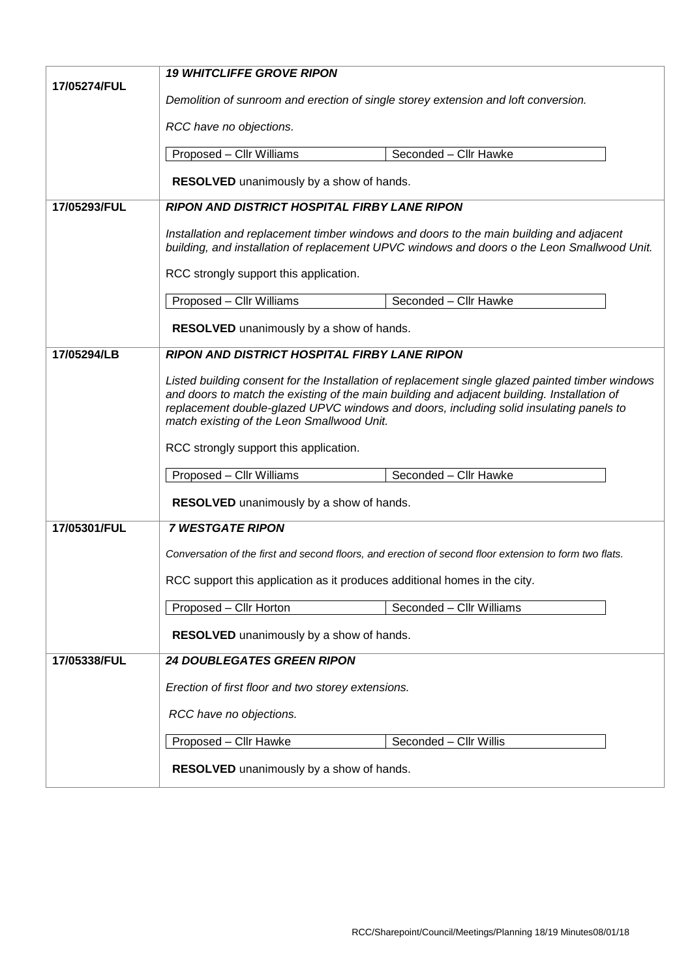|              | <b>19 WHITCLIFFE GROVE RIPON</b>                                                                                                                                                                                                                                                                                                                                                  |  |  |  |
|--------------|-----------------------------------------------------------------------------------------------------------------------------------------------------------------------------------------------------------------------------------------------------------------------------------------------------------------------------------------------------------------------------------|--|--|--|
| 17/05274/FUL | Demolition of sunroom and erection of single storey extension and loft conversion.                                                                                                                                                                                                                                                                                                |  |  |  |
|              | RCC have no objections.                                                                                                                                                                                                                                                                                                                                                           |  |  |  |
|              | Proposed - Cllr Williams<br>Seconded - Cllr Hawke                                                                                                                                                                                                                                                                                                                                 |  |  |  |
|              |                                                                                                                                                                                                                                                                                                                                                                                   |  |  |  |
|              | RESOLVED unanimously by a show of hands.                                                                                                                                                                                                                                                                                                                                          |  |  |  |
| 17/05293/FUL | <b>RIPON AND DISTRICT HOSPITAL FIRBY LANE RIPON</b>                                                                                                                                                                                                                                                                                                                               |  |  |  |
|              | Installation and replacement timber windows and doors to the main building and adjacent<br>building, and installation of replacement UPVC windows and doors o the Leon Smallwood Unit.                                                                                                                                                                                            |  |  |  |
|              | RCC strongly support this application.                                                                                                                                                                                                                                                                                                                                            |  |  |  |
|              | Proposed - Cllr Williams<br>Seconded - Cllr Hawke                                                                                                                                                                                                                                                                                                                                 |  |  |  |
|              | <b>RESOLVED</b> unanimously by a show of hands.                                                                                                                                                                                                                                                                                                                                   |  |  |  |
| 17/05294/LB  | <b>RIPON AND DISTRICT HOSPITAL FIRBY LANE RIPON</b>                                                                                                                                                                                                                                                                                                                               |  |  |  |
|              | Listed building consent for the Installation of replacement single glazed painted timber windows<br>and doors to match the existing of the main building and adjacent building. Installation of<br>replacement double-glazed UPVC windows and doors, including solid insulating panels to<br>match existing of the Leon Smallwood Unit.<br>RCC strongly support this application. |  |  |  |
|              | Seconded - Cllr Hawke<br>Proposed - Cllr Williams                                                                                                                                                                                                                                                                                                                                 |  |  |  |
|              | RESOLVED unanimously by a show of hands.                                                                                                                                                                                                                                                                                                                                          |  |  |  |
| 17/05301/FUL | <b>7 WESTGATE RIPON</b>                                                                                                                                                                                                                                                                                                                                                           |  |  |  |
|              | Conversation of the first and second floors, and erection of second floor extension to form two flats.                                                                                                                                                                                                                                                                            |  |  |  |
|              | RCC support this application as it produces additional homes in the city.                                                                                                                                                                                                                                                                                                         |  |  |  |
|              | Proposed - Cllr Horton<br>Seconded - Cllr Williams                                                                                                                                                                                                                                                                                                                                |  |  |  |
|              | RESOLVED unanimously by a show of hands.                                                                                                                                                                                                                                                                                                                                          |  |  |  |
| 17/05338/FUL | <b>24 DOUBLEGATES GREEN RIPON</b>                                                                                                                                                                                                                                                                                                                                                 |  |  |  |
|              | Erection of first floor and two storey extensions.                                                                                                                                                                                                                                                                                                                                |  |  |  |
|              | RCC have no objections.                                                                                                                                                                                                                                                                                                                                                           |  |  |  |
|              | Proposed - Cllr Hawke<br>Seconded - Cllr Willis                                                                                                                                                                                                                                                                                                                                   |  |  |  |
|              | RESOLVED unanimously by a show of hands.                                                                                                                                                                                                                                                                                                                                          |  |  |  |